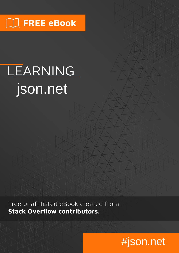# $\Box$  FREE eBook

# LEARNING json.net

Free unaffiliated eBook created from **Stack Overflow contributors.** 

# #json.net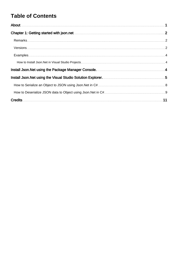#### **Table of Contents**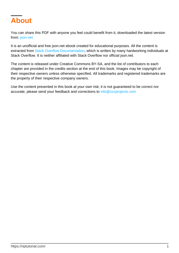<span id="page-2-0"></span>

You can share this PDF with anyone you feel could benefit from it, downloaded the latest version from: [json-net](http://riptutorial.com/ebook/json-net)

It is an unofficial and free json.net ebook created for educational purposes. All the content is extracted from [Stack Overflow Documentation,](https://archive.org/details/documentation-dump.7z) which is written by many hardworking individuals at Stack Overflow. It is neither affiliated with Stack Overflow nor official json.net.

The content is released under Creative Commons BY-SA, and the list of contributors to each chapter are provided in the credits section at the end of this book. Images may be copyright of their respective owners unless otherwise specified. All trademarks and registered trademarks are the property of their respective company owners.

Use the content presented in this book at your own risk; it is not guaranteed to be correct nor accurate, please send your feedback and corrections to [info@zzzprojects.com](mailto:info@zzzprojects.com)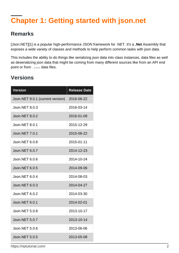# <span id="page-3-0"></span>**Chapter 1: Getting started with json.net**

#### <span id="page-3-1"></span>**Remarks**

[Json.NET][1] is a popular high-performance JSON framework for .NET. It's a **.Net** Assembly that exposes a wide variety of classes and methods to help perform common tasks with json data.

This includes the ability to do things like serializing json data into class instances, data files as well as deserializing json data that might be coming from many different sources like from an API end point or from . json data files.

#### <span id="page-3-2"></span>**Versions**

| <b>Version</b>                   | <b>Release Date</b> |
|----------------------------------|---------------------|
| Json.NET 9.0.1 (current version) | 2016-06-22          |
| Json.NET 8.0.3                   | 2016-03-14          |
| <b>Json.NET 8.0.2</b>            | 2016-01-09          |
| Json.NET 8.0.1                   | 2015-12-29          |
| <b>Json.NET 7.0.1</b>            | 2015-06-22          |
| <b>Json.NET 6.0.8</b>            | 2015-01-11          |
| Json.NET 6.0.7                   | 2014-12-23          |
| Json.NET 6.0.6                   | 2014-10-24          |
| <b>Json.NET 6.0.5</b>            | 2014-09-06          |
| Json.NET 6.0.4                   | 2014-08-03          |
| Json.NET 6.0.3                   | 2014-04-27          |
| Json.NET 6.0.2                   | 2014-03-30          |
| Json.NET 6.0.1                   | 2014-02-01          |
| Json.NET 5.0.8                   | 2013-10-17          |
| <b>Json.NET 5.0.7</b>            | 2013-10-14          |
| Json.NET 5.0.6                   | 2013-06-06          |
| <b>Json.NET 5.0.5</b>            | 2013-05-08          |

https://riptutorial.com/ 2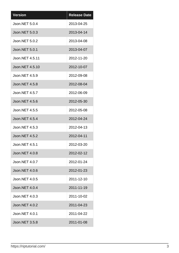| <b>Version</b>        | <b>Release Date</b> |
|-----------------------|---------------------|
| Json.NET 5.0.4        | 2013-04-25          |
| Json.NET 5.0.3        | 2013-04-14          |
| <b>Json.NET 5.0.2</b> | 2013-04-08          |
| Json.NET 5.0.1        | 2013-04-07          |
| Json.NET 4.5.11       | 2012-11-20          |
| Json.NET 4.5.10       | 2012-10-07          |
| Json.NET 4.5.9        | 2012-09-08          |
| <b>Json.NET 4.5.8</b> | 2012-08-04          |
| Json.NET 4.5.7        | 2012-06-09          |
| <b>Json.NET 4.5.6</b> | 2012-05-30          |
| <b>Json.NET 4.5.5</b> | 2012-05-08          |
| Json.NET 4.5.4        | 2012-04-24          |
| <b>Json.NET 4.5.3</b> | 2012-04-13          |
| <b>Json.NET 4.5.2</b> | 2012-04-11          |
| Json.NET 4.5.1        | 2012-03-20          |
| Json.NET 4.0.8        | 2012-02-12          |
| Json.NET 4.0.7        | 2012-01-24          |
| Json.NET 4.0.6        | 2012-01-23          |
| Json.NET 4.0.5        | 2011-12-10          |
| <b>Json.NET 4.0.4</b> | 2011-11-19          |
| Json.NET 4.0.3        | 2011-10-02          |
| <b>Json.NET 4.0.2</b> | 2011-04-23          |
| Json.NET 4.0.1        | 2011-04-22          |
| <b>Json.NET 3.5.8</b> | 2011-01-08          |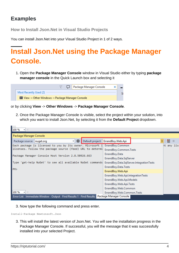#### <span id="page-5-0"></span>**Examples**

п.

<span id="page-5-1"></span>**How to Install Json.Net in Visual Studio Projects**

<span id="page-5-2"></span>You can install Json.Net into your Visual Studio Project in 1 of 2 ways.

## **Install Json.Net using the Package Manager Console.**

1. Open the Package Manager Console window in Visual Studio either by typing package **manager console** in the Quick Launch box and selecting it

| Package Manager Console                             |  |
|-----------------------------------------------------|--|
| Most Recently Used (2)                              |  |
| Call View → Other Windows → Package Manager Console |  |

or by clicking **View** -> **Other Windows** -> **Package Manager Console**.

2. Once the Package Manager Console is visible, select the project within your solution, into which you want to install Json.Net, by selecting it from the **Default Project** dropdown.

| 100 %                                                          |                                           |             |  |  |  |  |
|----------------------------------------------------------------|-------------------------------------------|-------------|--|--|--|--|
| Package Manager Console                                        |                                           |             |  |  |  |  |
| Ð<br>Package source: nuget.org<br>۰                            | Default project: ErrandBoy.Web.Api        | ⋐           |  |  |  |  |
| Each package is licensed to you by its owner. Microsoft i      | ErrandBoy.Common                          | nt any lice |  |  |  |  |
| licenses. Follow the package source (feed) URL to determi      | ErrandBoy.Common.Tests                    |             |  |  |  |  |
| Package Manager Console Host Version 2.8.50926.663             | ErrandBoy.Data                            |             |  |  |  |  |
|                                                                | ErrandBoy.Data.SqlServer                  |             |  |  |  |  |
| Type 'get-help NuGet' to see all available NuGet commands      | ErrandBoy.Data.SqlServer.IntegrationTests |             |  |  |  |  |
|                                                                | ErrandBoy.Data.Tests                      |             |  |  |  |  |
| PM>                                                            | ErrandBoy.Web.Api                         |             |  |  |  |  |
|                                                                | ErrandBoy.Web.Api.IntegrationTests        |             |  |  |  |  |
|                                                                | ErrandBoy.Web.Api.Models                  |             |  |  |  |  |
|                                                                | ErrandBoy.Web.Api.Tests                   |             |  |  |  |  |
|                                                                | ErrandBoy.Web.Common                      |             |  |  |  |  |
| 100 %<br>$\mathbf{v}$ .                                        | ErrandBoy.Web.Common.Tests                |             |  |  |  |  |
| Error List Immediate Window Output Find Results 1 Find Results | Package Manager Console                   |             |  |  |  |  |

3. Now type the following command and press enter.

Install-Package Newtonsoft.Json

3. This will install the latest version of Json.Net. You will see the installation progress in the Package Manager Console. If successful, you will the message that it was successfully installed into your selected Project.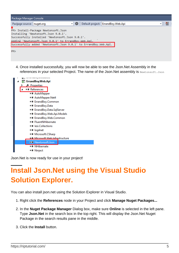| Package Manager Console     |                                                                                                                                                                                                                                                           |         |                                    |  |  |
|-----------------------------|-----------------------------------------------------------------------------------------------------------------------------------------------------------------------------------------------------------------------------------------------------------|---------|------------------------------------|--|--|
| Package source:   nuget.org |                                                                                                                                                                                                                                                           | Ð<br>÷L | Default project: ErrandBoy.Web.Api |  |  |
|                             | PM> Install-Package Newtonsoft.Json<br>Installing 'Newtonsoft.Json 9.0.1'.<br>Successfully installed 'Newtonsoft.Json 9.0.1'.<br>Adding 'Newtonsoft.Json 9.0.1' to ErrandBov.Web.Api.<br>Successfully added 'Newtonsoft.Json 9.0.1' to ErrandBoy.Web.Api. |         |                                    |  |  |
| PM <sub>&gt;</sub>          |                                                                                                                                                                                                                                                           |         |                                    |  |  |

Once installed successfully, you will now be able to see the Json.Net Assembly in the 4. references in your selected Project. The name of the Json.Net assembly is Newtonsoft.Json



<span id="page-6-0"></span>Json.Net is now ready for use in your project!

## **Install Json.Net using the Visual Studio Solution Explorer.**

You can also install json.net using the Solution Explorer in Visual Studio.

- 1. Right click the **References** node in your Project and click **Manage Nuget Packages...**
- 2. In the **Nuget Package Manager** Dialog box, make sure **Online** is selected in the left pane. Type **Json.Net** in the search box in the top right. This will display the Json.Net Nuget Package in the search results pane in the middle.
- 3. Click the **Install** button.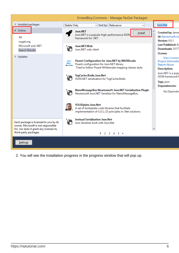|                                                                                                                          |                    | ErrandBoy.Common - Manage NuGet Packages                                                                                                                 |                                                                                         |
|--------------------------------------------------------------------------------------------------------------------------|--------------------|----------------------------------------------------------------------------------------------------------------------------------------------------------|-----------------------------------------------------------------------------------------|
| ▷ Installed packages                                                                                                     | <b>Stable Only</b> | - Sort by: Relevance<br>٠                                                                                                                                | Json.Net                                                                                |
| ▲ Online<br>All<br>nuget.org                                                                                             |                    | Json.NET<br>Install<br>Json.NET is a popular high-performance JSON<br>framework for .NET                                                                 | <b>Created by: Jame</b><br>Id: Newtonsoft.Jso<br>Version: 9.0.1                         |
| Microsoft and .NET<br><b>Search Results</b>                                                                              |                    | Json.NET.Web<br>Json.NET web client                                                                                                                      | Last Published: 6/<br>Downloads: 33177<br>License                                       |
| D Updates                                                                                                                |                    | Fluent Configuration for Json.NET by MASBicudo<br>Fluent configuration for Json.NET library.<br>Tried to follow Fluent NHibernate mapping classes style. | <b>View License</b><br>Project Informatio<br><b>Report Abuse</b><br><b>Description:</b> |
|                                                                                                                          | Ÿ.                 | TagCache.Redis.Json.Net<br>JSON.NET serialization for TagCache.Redis                                                                                     | Json.NET is a popi<br>JSON framework f<br>Tags: json                                    |
|                                                                                                                          |                    | NanoMessageBus Newtonsoft Json.NET Serialization Plugin<br>Newtonsoft Json.NET Serializer for NanoMessageBus.                                            | <b>Dependencies:</b><br>No Depender                                                     |
|                                                                                                                          |                    | SOLIDplate.Json.Net<br>A set of boilerplate code libraries that facilitate<br>implementation of S.O.L.I.D principles in .Net solutions                   |                                                                                         |
| Each package is licensed to you by its<br>owner. Microsoft is not responsible<br>for, nor does it grant any licenses to, |                    | <b>Invisual Serialization Json.Net</b><br>Json Serializer built with Json.Net                                                                            |                                                                                         |
| third-party packages.                                                                                                    |                    | 1 2 3 4 5                                                                                                                                                |                                                                                         |
| Settings                                                                                                                 |                    |                                                                                                                                                          |                                                                                         |

2. You will see the installation progress in the progress window that will pop up.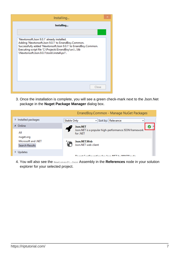| Installing                                                                                                                                                                                                                                                                  |  |
|-----------------------------------------------------------------------------------------------------------------------------------------------------------------------------------------------------------------------------------------------------------------------------|--|
| Installing                                                                                                                                                                                                                                                                  |  |
|                                                                                                                                                                                                                                                                             |  |
| 'Newtonsoft.Json 9.0.1' already installed.<br>Adding 'Newtonsoft.Json 9.0.1' to ErrandBoy.Common.<br>Successfully added 'Newtonsoft.Json 9.0.1' to ErrandBoy.Common.<br>Executing script file 'C:\Projects\ErrandBoy\src\\lib<br>\Newtonsoft.Json.9.0.1\tools\install.ps1'. |  |
| Close                                                                                                                                                                                                                                                                       |  |

3. Once the installation is complete, you will see a green check-mark next to the Json.Net package in the **Nuget Package Manager** dialog box.



4. You will also see the Newtonsoft.Json Assembly in the References node in your solution explorer for your selected project.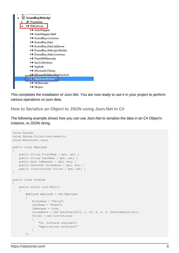

This completes the installation of Json.Net. You are now ready to use it in your project to perform various operations on json data.

<span id="page-9-0"></span>**How to Serialize an Object to JSON using Json.Net in C#**

The following example shows how you can use Json.Net to serialize the data in an C# Object's instance, to JSON string.

```
using System;
using System.Collections.Generic;
using Newtonsoft.Json;
public class Employee
{
       public string FirstName { get; set; }
      public string LastName { get; set; }
       public bool IsManager { get; set; }
       public DateTime JoinedDate { get; set; }
      public IList<string> Titles { get; set; }
}
public class Program
{
       public static void Main()
       {
             Employee employee = new Employee
             {
                  FirstName = "Shiva",
                  LastName = "Kumar",
                  IsManager = true,
                  JoinedDate = new DateTime(2013, 1, 20, 0, 0, 0, DateTimeKind.Utc),
                   Titles = new List<string>
\left\{ \begin{array}{cc} 0 & 0 & 0 \\ 0 & 0 & 0 \\ 0 & 0 & 0 \\ 0 & 0 & 0 \\ 0 & 0 & 0 \\ 0 & 0 & 0 \\ 0 & 0 & 0 \\ 0 & 0 & 0 \\ 0 & 0 & 0 \\ 0 & 0 & 0 \\ 0 & 0 & 0 \\ 0 & 0 & 0 & 0 \\ 0 & 0 & 0 & 0 \\ 0 & 0 & 0 & 0 \\ 0 & 0 & 0 & 0 & 0 \\ 0 & 0 & 0 & 0 & 0 \\ 0 & 0 & 0 & 0 & 0 \\ 0 & 0 & 0 & 0 & 0 \\ 0 & 0 & 0 & 0 & 0 "Sr. Software Engineer",
                         "Applications Architect"
 }
             };
```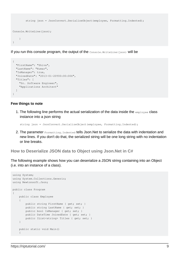```
string json = JsonConvert.SerializeObject(employee, Formatting.Indented);
Console.WriteLine(json);
     }
}
```
If you run this console program, the output of the Console. WriteLine(json) will be

```
{
  "FirstName": "Shiva",
  "LastName": "Kumar",
  "IsManager": true,
   "JoinedDate": "2013-01-20T00:00:00Z",
  "Titles": [
    "Sr. Software Engineer",
    "Applications Architect"
  ]
}
```
#### **Few things to note**

1. The following line performs the actual serialization of the data inside the  $emplogee$  class instance into a json string

string json = JsonConvert.SerializeObject(employee, Formatting.Indented);

2. The parameter Formatting.Indented tells Json.Net to serialize the data with indentation and new lines. If you don't do that, the serialized string will be one long string with no indentation or line breaks.

<span id="page-10-0"></span>**How to Deserialize JSON data to Object using Json.Net in C#**

The following example shows how you can deserialize a JSON string containing into an Object (i.e. into an instance of a class).

```
using System;
using System.Collections.Generic;
using Newtonsoft.Json;
public class Program
{
     public class Employee
     {
        public string FirstName { get; set; }
        public string LastName { get; set; }
        public bool IsManager { get; set; }
        public DateTime JoinedDate { get; set; }
         public IList<string> Titles { get; set; }
     }
     public static void Main()
\left\{\begin{array}{ccc} \end{array}\right\}
```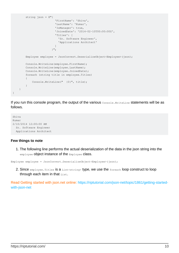```
 string json = @"{
                                 'FirstName': 'Shiva',
                                 'LastName': 'Kumar',
                                 'IsManager': true,
                                 'JoinedDate': '2014-02-10T00:00:00Z',
                                 'Titles': [
                                   'Sr. Software Engineer',
                                    'Applications Architect'
\mathbb{R}^n , the contract of \mathbb{R}^n , the contract of \mathbb{R}^n }";
          Employee employee = JsonConvert.DeserializeObject<Employee>(json);
          Console.WriteLine(employee.FirstName);
          Console.WriteLine(employee.LastName);
          Console.WriteLine(employee.JoinedDate);
          foreach (string title in employee.Titles)
\left\{ \begin{array}{cc} 0 & 0 \\ 0 & 0 \end{array} \right\} Console.WriteLine(" {0}", title);
          }
     }
```
If you run this console program, the output of the various Console. WriteLine statements will be as follows.

```
Shiva
Kumar
2/10/2014 12:00:00 AM
  Sr. Software Engineer
  Applications Architect
```
#### **Few things to note**

}

1. The following line performs the actual deserialization of the data in the json string into the employee object instance of the Employee class.

Employee employee = JsonConvert.DeserializeObject<Employee>(json);

2. Since  $\texttt{emplope}.\texttt{Titles}$  is a  $\texttt{List}\texttt{string}>$  type, we use the  $\texttt{foreach}$  loop construct to loop through each item in that  $List$ .

Read Getting started with json.net online: [https://riptutorial.com/json-net/topic/1861/getting-started](https://riptutorial.com/json-net/topic/1861/getting-started-with-json-net)[with-json-net](https://riptutorial.com/json-net/topic/1861/getting-started-with-json-net)